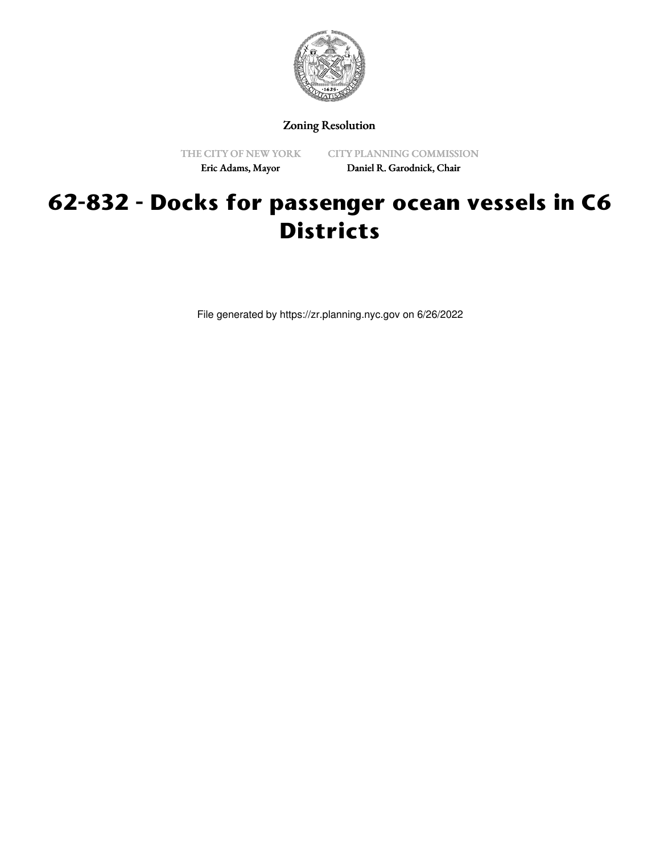

Zoning Resolution

THE CITY OF NEW YORK Eric Adams, Mayor

CITY PLANNING COMMISSION Daniel R. Garodnick, Chair

## **62-832 - Docks for passenger ocean vessels in C6 Districts**

File generated by https://zr.planning.nyc.gov on 6/26/2022